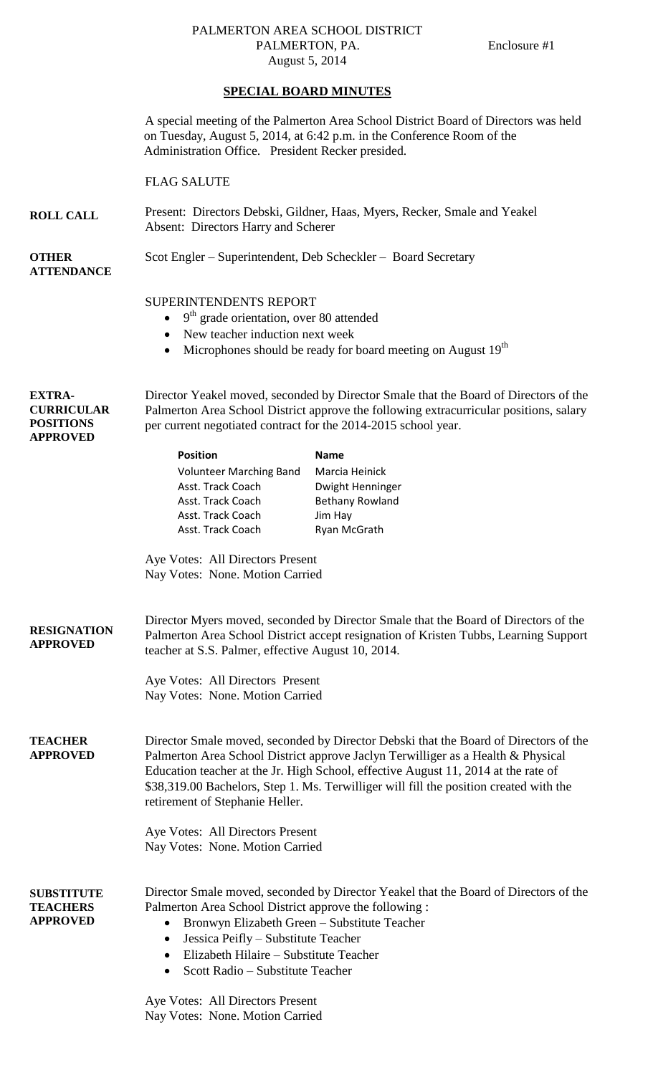## PALMERTON AREA SCHOOL DISTRICT PALMERTON, PA. Enclosure #1 August 5, 2014

## **SPECIAL BOARD MINUTES**

|                                                                           | A special meeting of the Palmerton Area School District Board of Directors was held<br>on Tuesday, August 5, 2014, at 6:42 p.m. in the Conference Room of the<br>Administration Office. President Recker presided.                                                                                                                                                                          |                                                                                                        |
|---------------------------------------------------------------------------|---------------------------------------------------------------------------------------------------------------------------------------------------------------------------------------------------------------------------------------------------------------------------------------------------------------------------------------------------------------------------------------------|--------------------------------------------------------------------------------------------------------|
|                                                                           | <b>FLAG SALUTE</b>                                                                                                                                                                                                                                                                                                                                                                          |                                                                                                        |
| <b>ROLL CALL</b>                                                          | Present: Directors Debski, Gildner, Haas, Myers, Recker, Smale and Yeakel<br>Absent: Directors Harry and Scherer                                                                                                                                                                                                                                                                            |                                                                                                        |
| <b>OTHER</b><br><b>ATTENDANCE</b>                                         | Scot Engler – Superintendent, Deb Scheckler – Board Secretary                                                                                                                                                                                                                                                                                                                               |                                                                                                        |
|                                                                           | SUPERINTENDENTS REPORT<br>9 <sup>th</sup> grade orientation, over 80 attended<br>$\bullet$<br>New teacher induction next week<br>٠<br>Microphones should be ready for board meeting on August 19 <sup>th</sup><br>$\bullet$                                                                                                                                                                 |                                                                                                        |
| <b>EXTRA-</b><br><b>CURRICULAR</b><br><b>POSITIONS</b><br><b>APPROVED</b> | Director Yeakel moved, seconded by Director Smale that the Board of Directors of the<br>Palmerton Area School District approve the following extracurricular positions, salary<br>per current negotiated contract for the 2014-2015 school year.                                                                                                                                            |                                                                                                        |
|                                                                           | <b>Position</b><br><b>Volunteer Marching Band</b><br>Asst. Track Coach<br>Asst. Track Coach<br>Asst. Track Coach<br>Asst. Track Coach                                                                                                                                                                                                                                                       | <b>Name</b><br>Marcia Heinick<br>Dwight Henninger<br><b>Bethany Rowland</b><br>Jim Hay<br>Ryan McGrath |
|                                                                           | Aye Votes: All Directors Present<br>Nay Votes: None. Motion Carried                                                                                                                                                                                                                                                                                                                         |                                                                                                        |
| <b>RESIGNATION</b><br><b>APPROVED</b>                                     | Director Myers moved, seconded by Director Smale that the Board of Directors of the<br>Palmerton Area School District accept resignation of Kristen Tubbs, Learning Support<br>teacher at S.S. Palmer, effective August 10, 2014.                                                                                                                                                           |                                                                                                        |
|                                                                           | Aye Votes: All Directors Present<br>Nay Votes: None. Motion Carried                                                                                                                                                                                                                                                                                                                         |                                                                                                        |
| <b>TEACHER</b><br><b>APPROVED</b>                                         | Director Smale moved, seconded by Director Debski that the Board of Directors of the<br>Palmerton Area School District approve Jaclyn Terwilliger as a Health & Physical<br>Education teacher at the Jr. High School, effective August 11, 2014 at the rate of<br>\$38,319.00 Bachelors, Step 1. Ms. Terwilliger will fill the position created with the<br>retirement of Stephanie Heller. |                                                                                                        |
|                                                                           | Aye Votes: All Directors Present<br>Nay Votes: None. Motion Carried                                                                                                                                                                                                                                                                                                                         |                                                                                                        |
| <b>SUBSTITUTE</b><br><b>TEACHERS</b><br><b>APPROVED</b>                   | Palmerton Area School District approve the following :<br>Bronwyn Elizabeth Green - Substitute Teacher<br>$\bullet$<br>Jessica Peifly - Substitute Teacher<br>$\bullet$<br>Elizabeth Hilaire – Substitute Teacher<br>$\bullet$<br>Scott Radio – Substitute Teacher<br>$\bullet$                                                                                                             | Director Smale moved, seconded by Director Yeakel that the Board of Directors of the                   |
|                                                                           | Aye Votes: All Directors Present<br>Nay Votes: None. Motion Carried                                                                                                                                                                                                                                                                                                                         |                                                                                                        |